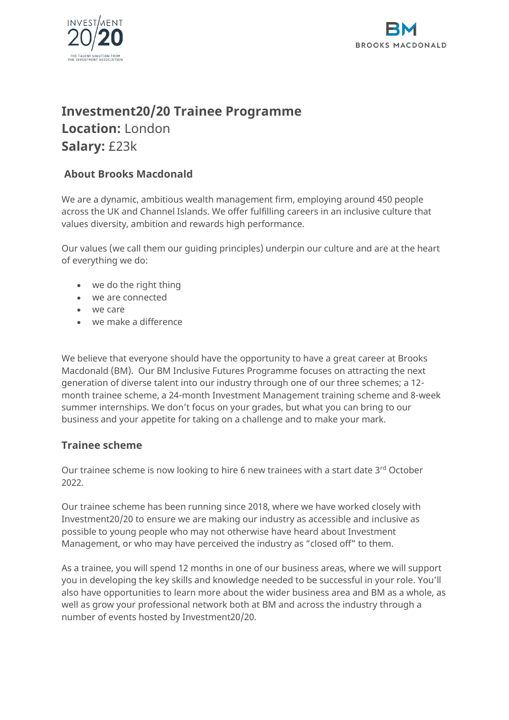



# **Investment20/20 Trainee Programme Location:** London

**Salary:** £23k

## **About Brooks Macdonald**

We are a dynamic, ambitious wealth management firm, employing around 450 people across the UK and Channel Islands. We offer fulfilling careers in an inclusive culture that values diversity, ambition and rewards high performance.

Our values (we call them our guiding principles) underpin our culture and are at the heart of everything we do:

- we do the right thing
- we are connected
- we care
- we make a difference

We believe that everyone should have the opportunity to have a great career at Brooks Macdonald (BM). Our BM Inclusive Futures Programme focuses on attracting the next generation of diverse talent into our industry through one of our three schemes; a 12 month trainee scheme, a 24-month Investment Management training scheme and 8-week summer internships. We don't focus on your grades, but what you can bring to our business and your appetite for taking on a challenge and to make your mark.

### **Trainee scheme**

Our trainee scheme is now looking to hire 6 new trainees with a start date 3rd October 2022.

Our trainee scheme has been running since 2018, where we have worked closely with Investment20/20 to ensure we are making our industry as accessible and inclusive as possible to young people who may not otherwise have heard about Investment Management, or who may have perceived the industry as "closed off" to them.

As a trainee, you will spend 12 months in one of our business areas, where we will support you in developing the key skills and knowledge needed to be successful in your role. You'll also have opportunities to learn more about the wider business area and BM as a whole, as well as grow your professional network both at BM and across the industry through a number of events hosted by Investment20/20.